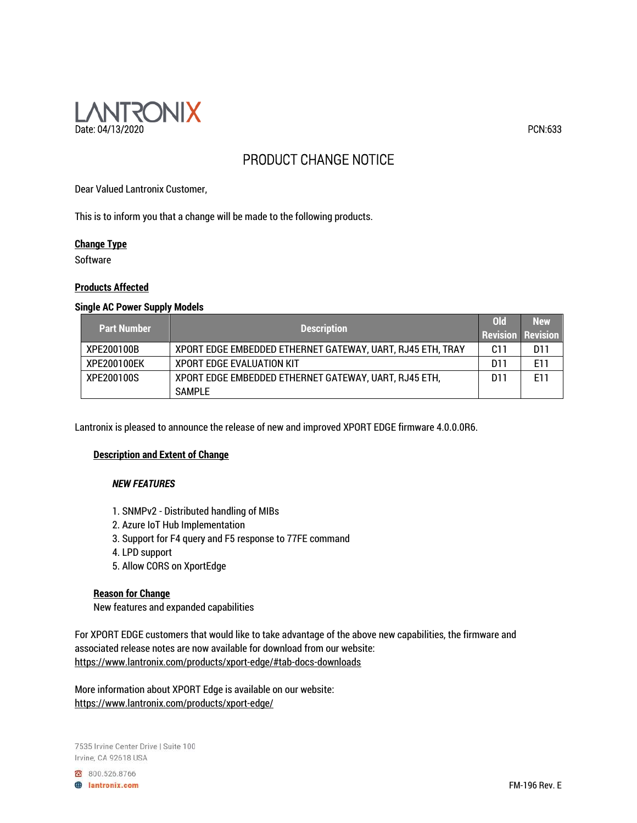

# PRODUCT CHANGE NOTICE

Dear Valued Lantronix Customer,

This is to inform you that a change will be made to the following products.

#### **Change Type**

**Software** 

## **Products Affected**

#### **Single AC Power Supply Models**

| <b>Part Number</b> | <b>Description</b>                                         | 0ld | <b>New</b><br><b>Revision Revision</b> |
|--------------------|------------------------------------------------------------|-----|----------------------------------------|
| XPE200100B         | XPORT EDGE EMBEDDED ETHERNET GATEWAY, UART, RJ45 ETH, TRAY | C11 | D11                                    |
| XPE200100EK        | <b>XPORT EDGE EVALUATION KIT</b>                           | D11 | E11                                    |
| XPE200100S         | XPORT EDGE EMBEDDED ETHERNET GATEWAY, UART, RJ45 ETH,      | D11 | F11                                    |
|                    | SAMPLE                                                     |     |                                        |

Lantronix is pleased to announce the release of new and improved XPORT EDGE firmware 4.0.0.0R6.

## **Description and Extent of Change**

## *NEW FEATURES*

- 1. SNMPv2 Distributed handling of MIBs
- 2. Azure IoT Hub Implementation
- 3. Support for F4 query and F5 response to 77FE command
- 4. LPD support
- 5. Allow CORS on XportEdge

## **Reason for Change**

New features and expanded capabilities

For XPORT EDGE customers that would like to take advantage of the above new capabilities, the firmware and associated release notes are now available for download from our website: https://www.lantronix.com/products/xport-edge/#tab-docs-downloads

More information about XPORT Edge is available on our website: https://www.lantronix.com/products/xport-edge/

7535 Irvine Center Drive | Suite 100 Irvine, CA 92618 USA

800.526.8766 **A** lantronix.com